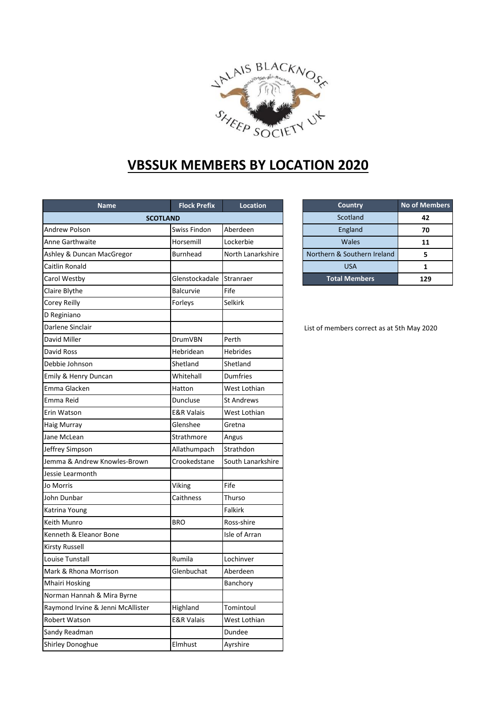

## **VBSSUK MEMBERS BY LOCATION 2020**

| <b>Name</b>                       | <b>Flock Prefix</b>   | Location          |
|-----------------------------------|-----------------------|-------------------|
| <b>SCOTLAND</b>                   |                       |                   |
| <b>Andrew Polson</b>              | Swiss Findon          | Aberdeen          |
| Anne Garthwaite                   | Horsemill             | Lockerbie         |
| Ashley & Duncan MacGregor         | <b>Burnhead</b>       | North Lanarkshire |
| Caitlin Ronald                    |                       |                   |
| Carol Westby                      | Glenstockadale        | Stranraer         |
| Claire Blythe                     | Balcurvie             | Fife              |
| <b>Corey Reilly</b>               | Forleys               | Selkirk           |
| D Reginiano                       |                       |                   |
| Darlene Sinclair                  |                       |                   |
| David Miller                      | DrumVBN               | Perth             |
| <b>David Ross</b>                 | Hebridean             | <b>Hebrides</b>   |
| Debbie Johnson                    | Shetland              | Shetland          |
| Emily & Henry Duncan              | Whitehall             | <b>Dumfries</b>   |
| Emma Glacken                      | Hatton                | West Lothian      |
| Emma Reid                         | Duncluse              | <b>St Andrews</b> |
| Erin Watson                       | <b>E&amp;R Valais</b> | West Lothian      |
| <b>Haig Murray</b>                | Glenshee              | Gretna            |
| Jane McLean                       | Strathmore            | Angus             |
| Jeffrey Simpson                   | Allathumpach          | Strathdon         |
| Jemma & Andrew Knowles-Brown      | Crookedstane          | South Lanarkshire |
| Jessie Learmonth                  |                       |                   |
| Jo Morris                         | Viking                | Fife              |
| John Dunbar                       | Caithness             | Thurso            |
| Katrina Young                     |                       | Falkirk           |
| Keith Munro                       | <b>BRO</b>            | Ross-shire        |
| Kenneth & Eleanor Bone            |                       | Isle of Arran     |
| <b>Kirsty Russell</b>             |                       |                   |
| Louise Tunstall                   | Rumila                | Lochinver         |
| Mark & Rhona Morrison             | Glenbuchat            | Aberdeen          |
| <b>Mhairi Hosking</b>             |                       | Banchory          |
| Norman Hannah & Mira Byrne        |                       |                   |
| Raymond Irvine & Jenni McAllister | Highland              | Tomintoul         |
| Robert Watson                     | <b>E&amp;R Valais</b> | West Lothian      |
| Sandy Readman                     |                       | Dundee            |
| Shirley Donoghue                  | Elmhust               |                   |
|                                   |                       | Ayrshire          |

| <b>Country</b>              | <b>No of Members</b> |  |
|-----------------------------|----------------------|--|
| Scotland                    | 42                   |  |
| England                     | 70                   |  |
| Wales                       | 11                   |  |
| Northern & Southern Ireland |                      |  |
| <b>USA</b>                  |                      |  |
| <b>Total Members</b>        | 129                  |  |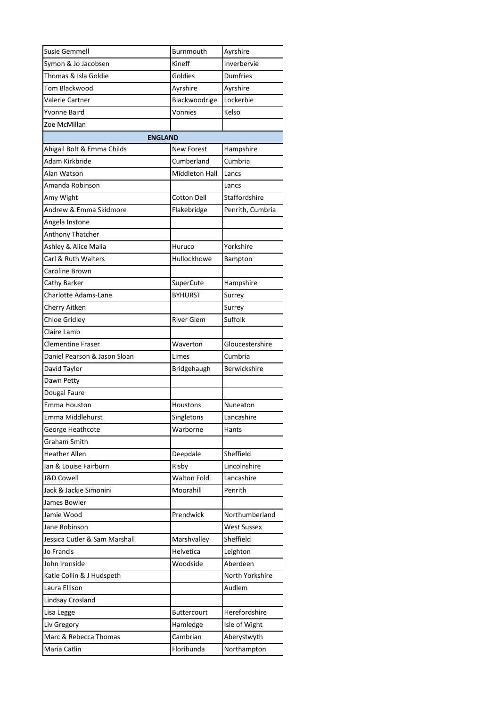| Susie Gemmell                 | <b>Burnmouth</b>                | Ayrshire           |  |  |  |  |  |
|-------------------------------|---------------------------------|--------------------|--|--|--|--|--|
| Symon & Jo Jacobsen           | Kineff                          | Inverbervie        |  |  |  |  |  |
| Thomas & Isla Goldie          | Goldies                         | Dumfries           |  |  |  |  |  |
| Tom Blackwood                 | Ayrshire                        | Ayrshire           |  |  |  |  |  |
| Valerie Cartner               | Blackwoodrige                   | Lockerbie          |  |  |  |  |  |
| Yvonne Baird                  | Vonnies                         | Kelso              |  |  |  |  |  |
| Zoe McMillan                  |                                 |                    |  |  |  |  |  |
| <b>ENGLAND</b>                |                                 |                    |  |  |  |  |  |
| Abigail Bolt & Emma Childs    | <b>New Forest</b>               | Hampshire          |  |  |  |  |  |
| Adam Kirkbride                | Cumberland                      | Cumbria            |  |  |  |  |  |
| Alan Watson                   | Middleton Hall<br>Lancs         |                    |  |  |  |  |  |
| Amanda Robinson               |                                 | Lancs              |  |  |  |  |  |
| Amy Wight                     | Staffordshire<br>Cotton Dell    |                    |  |  |  |  |  |
| Andrew & Emma Skidmore        | Penrith, Cumbria<br>Flakebridge |                    |  |  |  |  |  |
| Angela Instone                |                                 |                    |  |  |  |  |  |
| Anthony Thatcher              |                                 |                    |  |  |  |  |  |
| Ashley & Alice Malia          | Huruco                          | Yorkshire          |  |  |  |  |  |
| Carl & Ruth Walters           | Hullockhowe                     | Bampton            |  |  |  |  |  |
| Caroline Brown                |                                 |                    |  |  |  |  |  |
| Cathy Barker                  | SuperCute                       | Hampshire          |  |  |  |  |  |
| <b>Charlotte Adams-Lane</b>   | <b>BYHURST</b>                  | Surrey             |  |  |  |  |  |
| Cherry Aitken                 |                                 | Surrey             |  |  |  |  |  |
| Chloe Gridley                 | <b>River Glem</b>               | Suffolk            |  |  |  |  |  |
| Claire Lamb                   |                                 |                    |  |  |  |  |  |
| <b>Clementine Fraser</b>      | Waverton                        | Gloucestershire    |  |  |  |  |  |
| Daniel Pearson & Jason Sloan  | Limes                           | Cumbria            |  |  |  |  |  |
| David Taylor                  | Bridgehaugh                     | Berwickshire       |  |  |  |  |  |
| Dawn Petty                    |                                 |                    |  |  |  |  |  |
| Dougal Faure                  |                                 |                    |  |  |  |  |  |
| Emma Houston                  | Houstons                        | Nuneaton           |  |  |  |  |  |
| Emma Middlehurst              | Singletons                      | Lancashire         |  |  |  |  |  |
| George Heathcote              | Warborne                        | Hants              |  |  |  |  |  |
| Graham Smith                  |                                 |                    |  |  |  |  |  |
| <b>Heather Allen</b>          | Deepdale                        | Sheffield          |  |  |  |  |  |
| lan & Louise Fairburn         | Risby                           | Lincolnshire       |  |  |  |  |  |
| <b>J&amp;D Cowell</b>         | <b>Walton Fold</b>              | Lancashire         |  |  |  |  |  |
| Jack & Jackie Simonini        | Moorahill                       | Penrith            |  |  |  |  |  |
| James Bowler                  |                                 |                    |  |  |  |  |  |
| Jamie Wood                    | Prendwick                       | Northumberland     |  |  |  |  |  |
| Jane Robinson                 |                                 | <b>West Sussex</b> |  |  |  |  |  |
| Jessica Cutler & Sam Marshall | Marshvalley                     | Sheffield          |  |  |  |  |  |
| Jo Francis                    | Helvetica                       | Leighton           |  |  |  |  |  |
| John Ironside                 | Woodside                        | Aberdeen           |  |  |  |  |  |
| Katie Collin & J Hudspeth     |                                 | North Yorkshire    |  |  |  |  |  |
| Laura Ellison                 |                                 | Audlem             |  |  |  |  |  |
| Lindsay Crosland              |                                 |                    |  |  |  |  |  |
| Lisa Legge                    | <b>Buttercourt</b>              | Herefordshire      |  |  |  |  |  |
| Liv Gregory                   | Hamledge                        | Isle of Wight      |  |  |  |  |  |
| Marc & Rebecca Thomas         | Cambrian                        | Aberystwyth        |  |  |  |  |  |
| Maria Catlin                  | Floribunda                      | Northampton        |  |  |  |  |  |